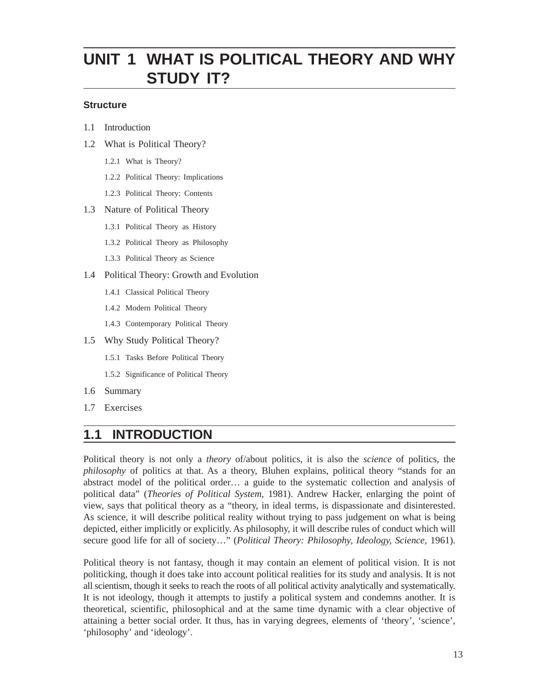# **UNIT 1 WHAT IS POLITICAL THEORY AND WHY STUDY IT?**

#### **Structure**

- 1.1 Introduction
- 1.2 What is Political Theory?
	- 1.2.1 What is Theory?
	- 1.2.2 Political Theory: Implications
	- 1.2.3 Political Theory: Contents

#### 1.3 Nature of Political Theory

- 1.3.1 Political Theory as History
- 1.3.2 Political Theory as Philosophy
- 1.3.3 Political Theory as Science
- 1.4 Political Theory: Growth and Evolution
	- 1.4.1 Classical Political Theory
	- 1.4.2 Modern Political Theory
	- 1.4.3 Contemporary Political Theory
- 1.5 Why Study Political Theory?
	- 1.5.1 Tasks Before Political Theory
	- 1.5.2 Significance of Political Theory
- 1.6 Summary
- 1.7 Exercises

### **1.1 INTRODUCTION**

Political theory is not only a *theory* of/about politics, it is also the *science* of politics, the *philosophy* of politics at that. As a theory, Bluhen explains, political theory "stands for an abstract model of the political order… a guide to the systematic collection and analysis of political data" (*Theories of Political System*, 1981). Andrew Hacker, enlarging the point of view, says that political theory as a "theory, in ideal terms, is dispassionate and disinterested. As science, it will describe political reality without trying to pass judgement on what is being depicted, either implicitly or explicitly. As philosophy, it will describe rules of conduct which will secure good life for all of society…" (*Political Theory: Philosophy, Ideology, Science,* 1961).

Political theory is not fantasy, though it may contain an element of political vision. It is not politicking, though it does take into account political realities for its study and analysis. It is not all scientism, though it seeks to reach the roots of all political activity analytically and systematically. It is not ideology, though it attempts to justify a political system and condemns another. It is theoretical, scientific, philosophical and at the same time dynamic with a clear objective of attaining a better social order. It thus, has in varying degrees, elements of 'theory', 'science', 'philosophy' and 'ideology'.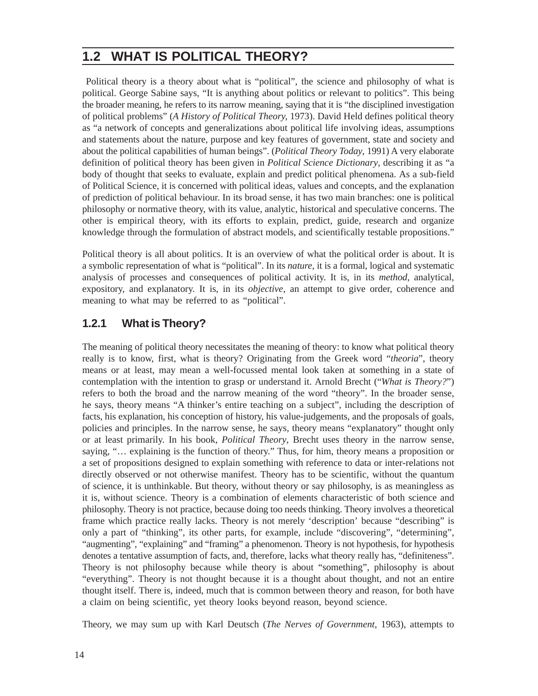## **1.2 WHAT IS POLITICAL THEORY?**

 Political theory is a theory about what is "political", the science and philosophy of what is political. George Sabine says, "It is anything about politics or relevant to politics". This being the broader meaning, he refers to its narrow meaning, saying that it is "the disciplined investigation of political problems" (*A History of Political Theory,* 1973). David Held defines political theory as "a network of concepts and generalizations about political life involving ideas, assumptions and statements about the nature, purpose and key features of government, state and society and about the political capabilities of human beings". (*Political Theory Today*, 1991) A very elaborate definition of political theory has been given in *Political Science Dictionary*, describing it as "a body of thought that seeks to evaluate, explain and predict political phenomena. As a sub-field of Political Science, it is concerned with political ideas, values and concepts, and the explanation of prediction of political behaviour. In its broad sense, it has two main branches: one is political philosophy or normative theory, with its value, analytic, historical and speculative concerns. The other is empirical theory, with its efforts to explain, predict, guide, research and organize knowledge through the formulation of abstract models, and scientifically testable propositions."

Political theory is all about politics. It is an overview of what the political order is about. It is a symbolic representation of what is "political". In its *nature*, it is a formal, logical and systematic analysis of processes and consequences of political activity. It is, in its *method*, analytical, expository, and explanatory. It is, in its *objective*, an attempt to give order, coherence and meaning to what may be referred to as "political".

#### **1.2.1 What is Theory?**

The meaning of political theory necessitates the meaning of theory: to know what political theory really is to know, first, what is theory? Originating from the Greek word "*theoria*", theory means or at least, may mean a well-focussed mental look taken at something in a state of contemplation with the intention to grasp or understand it. Arnold Brecht ("*What is Theory?*") refers to both the broad and the narrow meaning of the word "theory". In the broader sense, he says, theory means "A thinker's entire teaching on a subject", including the description of facts, his explanation, his conception of history, his value-judgements, and the proposals of goals, policies and principles. In the narrow sense, he says, theory means "explanatory" thought only or at least primarily. In his book, *Political Theory*, Brecht uses theory in the narrow sense, saying, "… explaining is the function of theory." Thus, for him, theory means a proposition or a set of propositions designed to explain something with reference to data or inter-relations not directly observed or not otherwise manifest. Theory has to be scientific, without the quantum of science, it is unthinkable. But theory, without theory or say philosophy, is as meaningless as it is, without science. Theory is a combination of elements characteristic of both science and philosophy. Theory is not practice, because doing too needs thinking. Theory involves a theoretical frame which practice really lacks. Theory is not merely 'description' because "describing" is only a part of "thinking", its other parts, for example, include "discovering", "determining", "augmenting", "explaining" and "framing" a phenomenon. Theory is not hypothesis, for hypothesis denotes a tentative assumption of facts, and, therefore, lacks what theory really has, "definiteness". Theory is not philosophy because while theory is about "something", philosophy is about "everything". Theory is not thought because it is a thought about thought, and not an entire thought itself. There is, indeed, much that is common between theory and reason, for both have a claim on being scientific, yet theory looks beyond reason, beyond science.

Theory, we may sum up with Karl Deutsch (*The Nerves of Government*, 1963), attempts to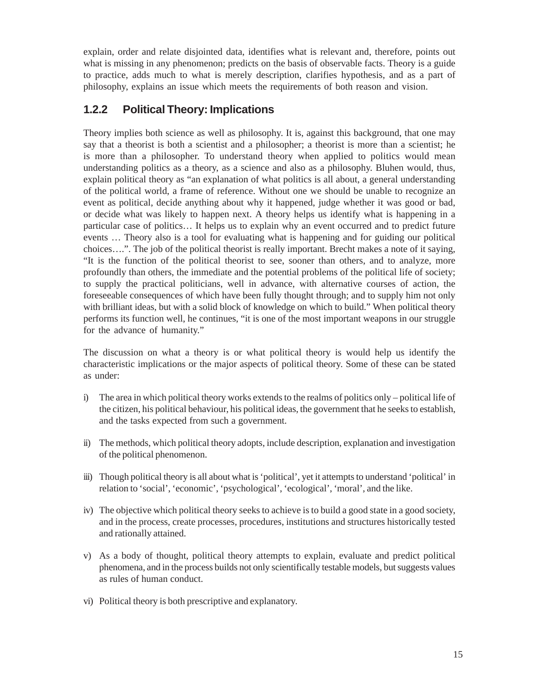explain, order and relate disjointed data, identifies what is relevant and, therefore, points out what is missing in any phenomenon; predicts on the basis of observable facts. Theory is a guide to practice, adds much to what is merely description, clarifies hypothesis, and as a part of philosophy, explains an issue which meets the requirements of both reason and vision.

### **1.2.2 Political Theory: Implications**

Theory implies both science as well as philosophy. It is, against this background, that one may say that a theorist is both a scientist and a philosopher; a theorist is more than a scientist; he is more than a philosopher. To understand theory when applied to politics would mean understanding politics as a theory, as a science and also as a philosophy. Bluhen would, thus, explain political theory as "an explanation of what politics is all about, a general understanding of the political world, a frame of reference. Without one we should be unable to recognize an event as political, decide anything about why it happened, judge whether it was good or bad, or decide what was likely to happen next. A theory helps us identify what is happening in a particular case of politics… It helps us to explain why an event occurred and to predict future events … Theory also is a tool for evaluating what is happening and for guiding our political choices….". The job of the political theorist is really important. Brecht makes a note of it saying, "It is the function of the political theorist to see, sooner than others, and to analyze, more profoundly than others, the immediate and the potential problems of the political life of society; to supply the practical politicians, well in advance, with alternative courses of action, the foreseeable consequences of which have been fully thought through; and to supply him not only with brilliant ideas, but with a solid block of knowledge on which to build." When political theory performs its function well, he continues, "it is one of the most important weapons in our struggle for the advance of humanity."

The discussion on what a theory is or what political theory is would help us identify the characteristic implications or the major aspects of political theory. Some of these can be stated as under:

- i) The area in which political theory works extends to the realms of politics only political life of the citizen, his political behaviour, his political ideas, the government that he seeks to establish, and the tasks expected from such a government.
- ii) The methods, which political theory adopts, include description, explanation and investigation of the political phenomenon.
- iii) Though political theory is all about what is 'political', yet it attempts to understand 'political' in relation to 'social', 'economic', 'psychological', 'ecological', 'moral', and the like.
- iv) The objective which political theory seeks to achieve is to build a good state in a good society, and in the process, create processes, procedures, institutions and structures historically tested and rationally attained.
- v) As a body of thought, political theory attempts to explain, evaluate and predict political phenomena, and in the process builds not only scientifically testable models, but suggests values as rules of human conduct.
- vi) Political theory is both prescriptive and explanatory.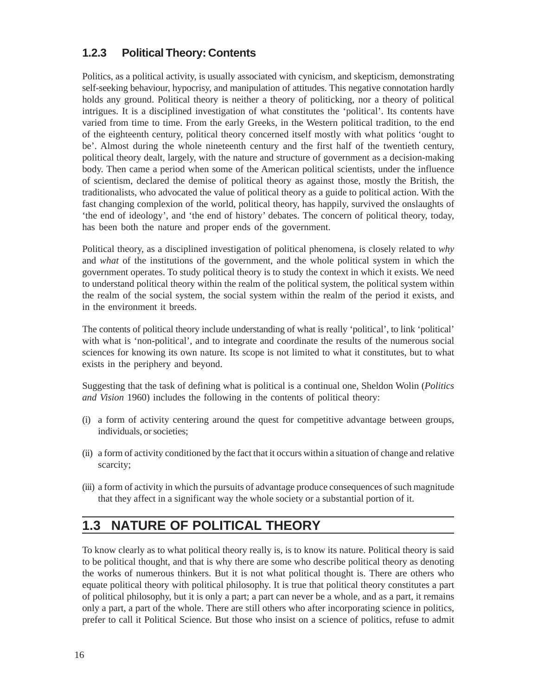### **1.2.3 Political Theory: Contents**

Politics, as a political activity, is usually associated with cynicism, and skepticism, demonstrating self-seeking behaviour, hypocrisy, and manipulation of attitudes. This negative connotation hardly holds any ground. Political theory is neither a theory of politicking, nor a theory of political intrigues. It is a disciplined investigation of what constitutes the 'political'. Its contents have varied from time to time. From the early Greeks, in the Western political tradition, to the end of the eighteenth century, political theory concerned itself mostly with what politics 'ought to be'. Almost during the whole nineteenth century and the first half of the twentieth century, political theory dealt, largely, with the nature and structure of government as a decision-making body. Then came a period when some of the American political scientists, under the influence of scientism, declared the demise of political theory as against those, mostly the British, the traditionalists, who advocated the value of political theory as a guide to political action. With the fast changing complexion of the world, political theory, has happily, survived the onslaughts of 'the end of ideology', and 'the end of history' debates. The concern of political theory, today, has been both the nature and proper ends of the government.

Political theory, as a disciplined investigation of political phenomena, is closely related to *why* and *what* of the institutions of the government, and the whole political system in which the government operates. To study political theory is to study the context in which it exists. We need to understand political theory within the realm of the political system, the political system within the realm of the social system, the social system within the realm of the period it exists, and in the environment it breeds.

The contents of political theory include understanding of what is really 'political', to link 'political' with what is 'non-political', and to integrate and coordinate the results of the numerous social sciences for knowing its own nature. Its scope is not limited to what it constitutes, but to what exists in the periphery and beyond.

Suggesting that the task of defining what is political is a continual one, Sheldon Wolin (*Politics and Vision* 1960) includes the following in the contents of political theory:

- (i) a form of activity centering around the quest for competitive advantage between groups, individuals, or societies;
- (ii) a form of activity conditioned by the fact that it occurs within a situation of change and relative scarcity;
- (iii) a form of activity in which the pursuits of advantage produce consequences of such magnitude that they affect in a significant way the whole society or a substantial portion of it.

## **1.3 NATURE OF POLITICAL THEORY**

To know clearly as to what political theory really is, is to know its nature. Political theory is said to be political thought, and that is why there are some who describe political theory as denoting the works of numerous thinkers. But it is not what political thought is. There are others who equate political theory with political philosophy. It is true that political theory constitutes a part of political philosophy, but it is only a part; a part can never be a whole, and as a part, it remains only a part, a part of the whole. There are still others who after incorporating science in politics, prefer to call it Political Science. But those who insist on a science of politics, refuse to admit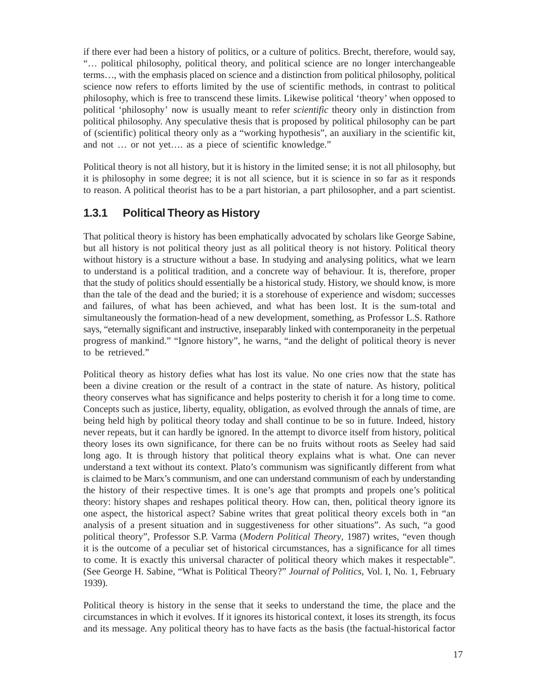if there ever had been a history of politics, or a culture of politics. Brecht, therefore, would say, "… political philosophy, political theory, and political science are no longer interchangeable terms…, with the emphasis placed on science and a distinction from political philosophy, political science now refers to efforts limited by the use of scientific methods, in contrast to political philosophy, which is free to transcend these limits. Likewise political 'theory' when opposed to political 'philosophy' now is usually meant to refer *scientific* theory only in distinction from political philosophy. Any speculative thesis that is proposed by political philosophy can be part of (scientific) political theory only as a "working hypothesis", an auxiliary in the scientific kit, and not … or not yet…. as a piece of scientific knowledge."

Political theory is not all history, but it is history in the limited sense; it is not all philosophy, but it is philosophy in some degree; it is not all science, but it is science in so far as it responds to reason. A political theorist has to be a part historian, a part philosopher, and a part scientist.

### **1.3.1 Political Theory as History**

That political theory is history has been emphatically advocated by scholars like George Sabine, but all history is not political theory just as all political theory is not history. Political theory without history is a structure without a base. In studying and analysing politics, what we learn to understand is a political tradition, and a concrete way of behaviour. It is, therefore, proper that the study of politics should essentially be a historical study. History, we should know, is more than the tale of the dead and the buried; it is a storehouse of experience and wisdom; successes and failures, of what has been achieved, and what has been lost. It is the sum-total and simultaneously the formation-head of a new development, something, as Professor L.S. Rathore says, "eternally significant and instructive, inseparably linked with contemporaneity in the perpetual progress of mankind." "Ignore history", he warns, "and the delight of political theory is never to be retrieved."

Political theory as history defies what has lost its value. No one cries now that the state has been a divine creation or the result of a contract in the state of nature. As history, political theory conserves what has significance and helps posterity to cherish it for a long time to come. Concepts such as justice, liberty, equality, obligation, as evolved through the annals of time, are being held high by political theory today and shall continue to be so in future. Indeed, history never repeats, but it can hardly be ignored. In the attempt to divorce itself from history, political theory loses its own significance, for there can be no fruits without roots as Seeley had said long ago. It is through history that political theory explains what is what. One can never understand a text without its context. Plato's communism was significantly different from what is claimed to be Marx's communism, and one can understand communism of each by understanding the history of their respective times. It is one's age that prompts and propels one's political theory: history shapes and reshapes political theory. How can, then, political theory ignore its one aspect, the historical aspect? Sabine writes that great political theory excels both in "an analysis of a present situation and in suggestiveness for other situations". As such, "a good political theory", Professor S.P. Varma (*Modern Political Theory*, 1987) writes, "even though it is the outcome of a peculiar set of historical circumstances, has a significance for all times to come. It is exactly this universal character of political theory which makes it respectable". (See George H. Sabine, "What is Political Theory?" *Journal of Politics,* Vol. I, No. 1, February 1939).

Political theory is history in the sense that it seeks to understand the time, the place and the circumstances in which it evolves. If it ignores its historical context, it loses its strength, its focus and its message. Any political theory has to have facts as the basis (the factual-historical factor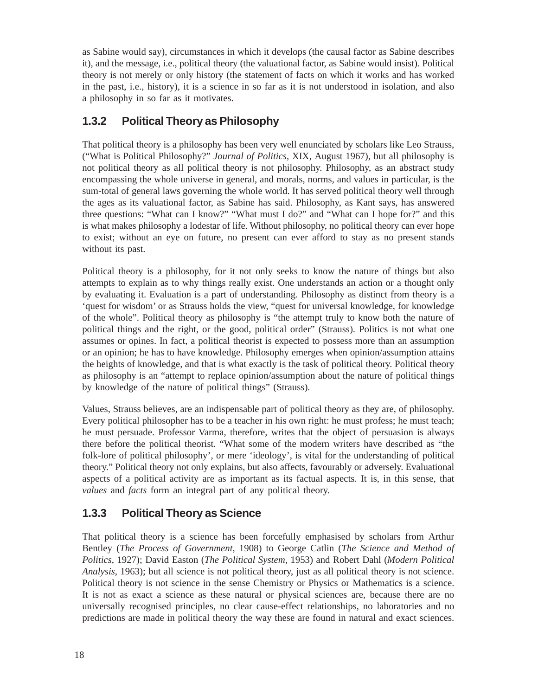as Sabine would say), circumstances in which it develops (the causal factor as Sabine describes it), and the message, i.e., political theory (the valuational factor, as Sabine would insist). Political theory is not merely or only history (the statement of facts on which it works and has worked in the past, i.e., history), it is a science in so far as it is not understood in isolation, and also a philosophy in so far as it motivates.

### **1.3.2 Political Theory as Philosophy**

That political theory is a philosophy has been very well enunciated by scholars like Leo Strauss, ("What is Political Philosophy?" *Journal of Politics,* XIX, August 1967), but all philosophy is not political theory as all political theory is not philosophy. Philosophy, as an abstract study encompassing the whole universe in general, and morals, norms, and values in particular, is the sum-total of general laws governing the whole world. It has served political theory well through the ages as its valuational factor, as Sabine has said. Philosophy, as Kant says, has answered three questions: "What can I know?" "What must I do?" and "What can I hope for?" and this is what makes philosophy a lodestar of life. Without philosophy, no political theory can ever hope to exist; without an eye on future, no present can ever afford to stay as no present stands without its past.

Political theory is a philosophy, for it not only seeks to know the nature of things but also attempts to explain as to why things really exist. One understands an action or a thought only by evaluating it. Evaluation is a part of understanding. Philosophy as distinct from theory is a 'quest for wisdom' or as Strauss holds the view, "quest for universal knowledge, for knowledge of the whole". Political theory as philosophy is "the attempt truly to know both the nature of political things and the right, or the good, political order" (Strauss). Politics is not what one assumes or opines. In fact, a political theorist is expected to possess more than an assumption or an opinion; he has to have knowledge. Philosophy emerges when opinion/assumption attains the heights of knowledge, and that is what exactly is the task of political theory. Political theory as philosophy is an "attempt to replace opinion/assumption about the nature of political things by knowledge of the nature of political things" (Strauss).

Values, Strauss believes, are an indispensable part of political theory as they are, of philosophy. Every political philosopher has to be a teacher in his own right: he must profess; he must teach; he must persuade. Professor Varma, therefore, writes that the object of persuasion is always there before the political theorist. "What some of the modern writers have described as "the folk-lore of political philosophy', or mere 'ideology', is vital for the understanding of political theory." Political theory not only explains, but also affects, favourably or adversely. Evaluational aspects of a political activity are as important as its factual aspects. It is, in this sense, that *values* and *facts* form an integral part of any political theory.

### **1.3.3 Political Theory as Science**

That political theory is a science has been forcefully emphasised by scholars from Arthur Bentley (*The Process of Government*, 1908) to George Catlin (*The Science and Method of Politics*, 1927); David Easton (*The Political System*, 1953) and Robert Dahl (*Modern Political Analysis*, 1963); but all science is not political theory, just as all political theory is not science. Political theory is not science in the sense Chemistry or Physics or Mathematics is a science. It is not as exact a science as these natural or physical sciences are, because there are no universally recognised principles, no clear cause-effect relationships, no laboratories and no predictions are made in political theory the way these are found in natural and exact sciences.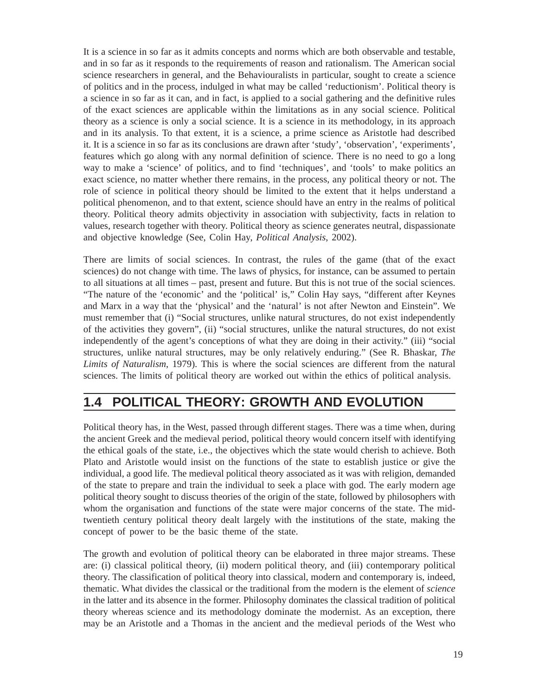It is a science in so far as it admits concepts and norms which are both observable and testable, and in so far as it responds to the requirements of reason and rationalism. The American social science researchers in general, and the Behaviouralists in particular, sought to create a science of politics and in the process, indulged in what may be called 'reductionism'. Political theory is a science in so far as it can, and in fact, is applied to a social gathering and the definitive rules of the exact sciences are applicable within the limitations as in any social science. Political theory as a science is only a social science. It is a science in its methodology, in its approach and in its analysis. To that extent, it is a science, a prime science as Aristotle had described it. It is a science in so far as its conclusions are drawn after 'study', 'observation', 'experiments', features which go along with any normal definition of science. There is no need to go a long way to make a 'science' of politics, and to find 'techniques', and 'tools' to make politics an exact science, no matter whether there remains, in the process, any political theory or not. The role of science in political theory should be limited to the extent that it helps understand a political phenomenon, and to that extent, science should have an entry in the realms of political theory. Political theory admits objectivity in association with subjectivity, facts in relation to values, research together with theory. Political theory as science generates neutral, dispassionate and objective knowledge (See, Colin Hay, *Political Analysis*, 2002).

There are limits of social sciences. In contrast, the rules of the game (that of the exact sciences) do not change with time. The laws of physics, for instance, can be assumed to pertain to all situations at all times – past, present and future. But this is not true of the social sciences. "The nature of the 'economic' and the 'political' is," Colin Hay says, "different after Keynes and Marx in a way that the 'physical' and the 'natural' is not after Newton and Einstein". We must remember that (i) "Social structures, unlike natural structures, do not exist independently of the activities they govern", (ii) "social structures, unlike the natural structures, do not exist independently of the agent's conceptions of what they are doing in their activity." (iii) "social structures, unlike natural structures, may be only relatively enduring." (See R. Bhaskar, *The Limits of Naturalism*, 1979). This is where the social sciences are different from the natural sciences. The limits of political theory are worked out within the ethics of political analysis.

## **1.4 POLITICAL THEORY: GROWTH AND EVOLUTION**

Political theory has, in the West, passed through different stages. There was a time when, during the ancient Greek and the medieval period, political theory would concern itself with identifying the ethical goals of the state, i.e., the objectives which the state would cherish to achieve. Both Plato and Aristotle would insist on the functions of the state to establish justice or give the individual, a good life. The medieval political theory associated as it was with religion, demanded of the state to prepare and train the individual to seek a place with god. The early modern age political theory sought to discuss theories of the origin of the state, followed by philosophers with whom the organisation and functions of the state were major concerns of the state. The midtwentieth century political theory dealt largely with the institutions of the state, making the concept of power to be the basic theme of the state.

The growth and evolution of political theory can be elaborated in three major streams. These are: (i) classical political theory, (ii) modern political theory, and (iii) contemporary political theory. The classification of political theory into classical, modern and contemporary is, indeed, thematic. What divides the classical or the traditional from the modern is the element of *science* in the latter and its absence in the former. Philosophy dominates the classical tradition of political theory whereas science and its methodology dominate the modernist. As an exception, there may be an Aristotle and a Thomas in the ancient and the medieval periods of the West who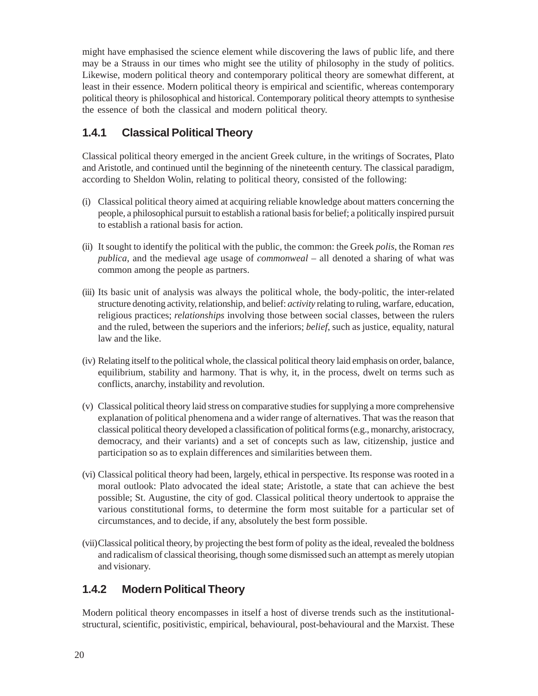might have emphasised the science element while discovering the laws of public life, and there may be a Strauss in our times who might see the utility of philosophy in the study of politics. Likewise, modern political theory and contemporary political theory are somewhat different, at least in their essence. Modern political theory is empirical and scientific, whereas contemporary political theory is philosophical and historical. Contemporary political theory attempts to synthesise the essence of both the classical and modern political theory.

### **1.4.1 Classical Political Theory**

Classical political theory emerged in the ancient Greek culture, in the writings of Socrates, Plato and Aristotle, and continued until the beginning of the nineteenth century. The classical paradigm, according to Sheldon Wolin, relating to political theory, consisted of the following:

- (i) Classical political theory aimed at acquiring reliable knowledge about matters concerning the people, a philosophical pursuit to establish a rational basis for belief; a politically inspired pursuit to establish a rational basis for action.
- (ii) It sought to identify the political with the public, the common: the Greek *polis*, the Roman *res publica*, and the medieval age usage of *commonweal* – all denoted a sharing of what was common among the people as partners.
- (iii) Its basic unit of analysis was always the political whole, the body-politic, the inter-related structure denoting activity, relationship, and belief: *activity* relating to ruling, warfare, education, religious practices; *relationships* involving those between social classes, between the rulers and the ruled, between the superiors and the inferiors; *belief*, such as justice, equality, natural law and the like.
- (iv) Relating itself to the political whole, the classical political theory laid emphasis on order, balance, equilibrium, stability and harmony. That is why, it, in the process, dwelt on terms such as conflicts, anarchy, instability and revolution.
- (v) Classical political theory laid stress on comparative studies for supplying a more comprehensive explanation of political phenomena and a wider range of alternatives. That was the reason that classical political theory developed a classification of political forms (e.g., monarchy, aristocracy, democracy, and their variants) and a set of concepts such as law, citizenship, justice and participation so as to explain differences and similarities between them.
- (vi) Classical political theory had been, largely, ethical in perspective. Its response was rooted in a moral outlook: Plato advocated the ideal state; Aristotle, a state that can achieve the best possible; St. Augustine, the city of god. Classical political theory undertook to appraise the various constitutional forms, to determine the form most suitable for a particular set of circumstances, and to decide, if any, absolutely the best form possible.
- (vii)Classical political theory, by projecting the best form of polity as the ideal, revealed the boldness and radicalism of classical theorising, though some dismissed such an attempt as merely utopian and visionary.

### **1.4.2 Modern Political Theory**

Modern political theory encompasses in itself a host of diverse trends such as the institutionalstructural, scientific, positivistic, empirical, behavioural, post-behavioural and the Marxist. These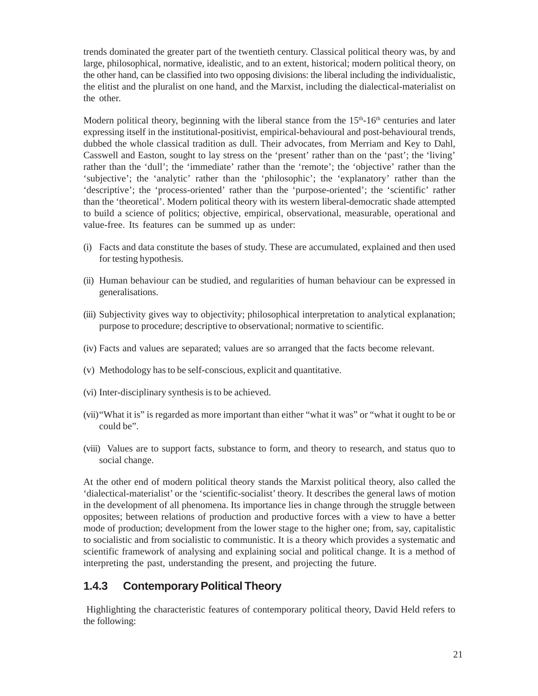trends dominated the greater part of the twentieth century. Classical political theory was, by and large, philosophical, normative, idealistic, and to an extent, historical; modern political theory, on the other hand, can be classified into two opposing divisions: the liberal including the individualistic, the elitist and the pluralist on one hand, and the Marxist, including the dialectical-materialist on the other.

Modern political theory, beginning with the liberal stance from the  $15<sup>th</sup>$ -16<sup>th</sup> centuries and later expressing itself in the institutional-positivist, empirical-behavioural and post-behavioural trends, dubbed the whole classical tradition as dull. Their advocates, from Merriam and Key to Dahl, Casswell and Easton, sought to lay stress on the 'present' rather than on the 'past'; the 'living' rather than the 'dull'; the 'immediate' rather than the 'remote'; the 'objective' rather than the 'subjective'; the 'analytic' rather than the 'philosophic'; the 'explanatory' rather than the 'descriptive'; the 'process-oriented' rather than the 'purpose-oriented'; the 'scientific' rather than the 'theoretical'. Modern political theory with its western liberal-democratic shade attempted to build a science of politics; objective, empirical, observational, measurable, operational and value-free. Its features can be summed up as under:

- (i) Facts and data constitute the bases of study. These are accumulated, explained and then used for testing hypothesis.
- (ii) Human behaviour can be studied, and regularities of human behaviour can be expressed in generalisations.
- (iii) Subjectivity gives way to objectivity; philosophical interpretation to analytical explanation; purpose to procedure; descriptive to observational; normative to scientific.
- (iv) Facts and values are separated; values are so arranged that the facts become relevant.
- (v) Methodology has to be self-conscious, explicit and quantitative.
- (vi) Inter-disciplinary synthesis is to be achieved.
- (vii)"What it is" is regarded as more important than either "what it was" or "what it ought to be or could be".
- (viii) Values are to support facts, substance to form, and theory to research, and status quo to social change.

At the other end of modern political theory stands the Marxist political theory, also called the 'dialectical-materialist' or the 'scientific-socialist' theory. It describes the general laws of motion in the development of all phenomena. Its importance lies in change through the struggle between opposites; between relations of production and productive forces with a view to have a better mode of production; development from the lower stage to the higher one; from, say, capitalistic to socialistic and from socialistic to communistic. It is a theory which provides a systematic and scientific framework of analysing and explaining social and political change. It is a method of interpreting the past, understanding the present, and projecting the future.

### **1.4.3 Contemporary Political Theory**

 Highlighting the characteristic features of contemporary political theory, David Held refers to the following: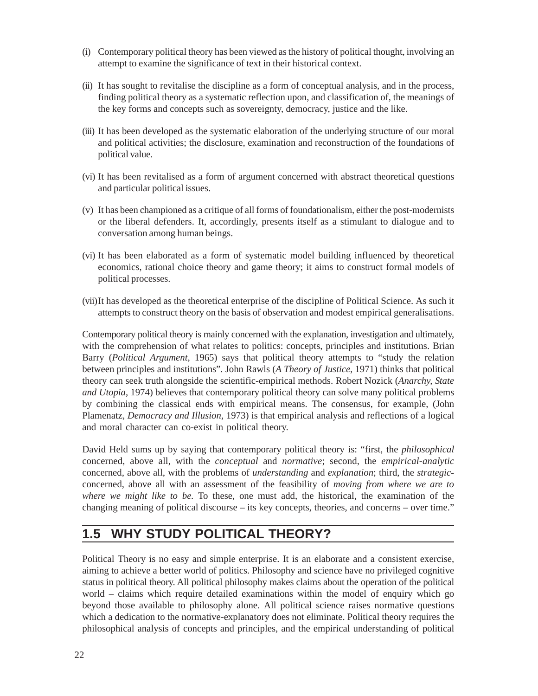- (i) Contemporary political theory has been viewed as the history of political thought, involving an attempt to examine the significance of text in their historical context.
- (ii) It has sought to revitalise the discipline as a form of conceptual analysis, and in the process, finding political theory as a systematic reflection upon, and classification of, the meanings of the key forms and concepts such as sovereignty, democracy, justice and the like.
- (iii) It has been developed as the systematic elaboration of the underlying structure of our moral and political activities; the disclosure, examination and reconstruction of the foundations of political value.
- (vi) It has been revitalised as a form of argument concerned with abstract theoretical questions and particular political issues.
- (v) It has been championed as a critique of all forms of foundationalism, either the post-modernists or the liberal defenders. It, accordingly, presents itself as a stimulant to dialogue and to conversation among human beings.
- (vi) It has been elaborated as a form of systematic model building influenced by theoretical economics, rational choice theory and game theory; it aims to construct formal models of political processes.
- (vii)It has developed as the theoretical enterprise of the discipline of Political Science. As such it attempts to construct theory on the basis of observation and modest empirical generalisations.

Contemporary political theory is mainly concerned with the explanation, investigation and ultimately, with the comprehension of what relates to politics: concepts, principles and institutions. Brian Barry (*Political Argument*, 1965) says that political theory attempts to "study the relation between principles and institutions". John Rawls (*A Theory of Justice*, 1971) thinks that political theory can seek truth alongside the scientific-empirical methods. Robert Nozick (*Anarchy, State and Utopia*, 1974) believes that contemporary political theory can solve many political problems by combining the classical ends with empirical means. The consensus, for example, (John Plamenatz, *Democracy and Illusion*, 1973) is that empirical analysis and reflections of a logical and moral character can co-exist in political theory.

David Held sums up by saying that contemporary political theory is: "first, the *philosophical* concerned, above all, with the *conceptual* and *normative*; second, the *empirical-analytic* concerned, above all, with the problems of *understanding* and *explanation*; third, the *strategic*concerned, above all with an assessment of the feasibility of *moving from where we are to where we might like to be.* To these, one must add, the historical, the examination of the changing meaning of political discourse – its key concepts, theories, and concerns – over time."

### **1.5 WHY STUDY POLITICAL THEORY?**

Political Theory is no easy and simple enterprise. It is an elaborate and a consistent exercise, aiming to achieve a better world of politics. Philosophy and science have no privileged cognitive status in political theory. All political philosophy makes claims about the operation of the political world – claims which require detailed examinations within the model of enquiry which go beyond those available to philosophy alone. All political science raises normative questions which a dedication to the normative-explanatory does not eliminate. Political theory requires the philosophical analysis of concepts and principles, and the empirical understanding of political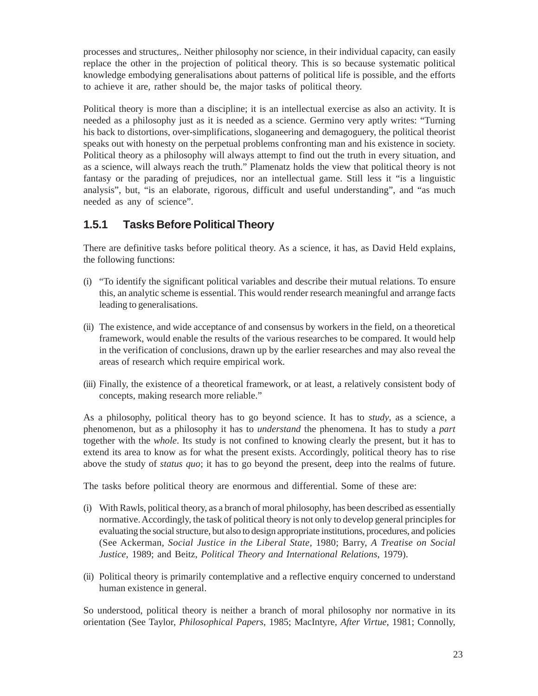processes and structures,. Neither philosophy nor science, in their individual capacity, can easily replace the other in the projection of political theory. This is so because systematic political knowledge embodying generalisations about patterns of political life is possible, and the efforts to achieve it are, rather should be, the major tasks of political theory.

Political theory is more than a discipline; it is an intellectual exercise as also an activity. It is needed as a philosophy just as it is needed as a science. Germino very aptly writes: "Turning his back to distortions, over-simplifications, sloganeering and demagoguery, the political theorist speaks out with honesty on the perpetual problems confronting man and his existence in society. Political theory as a philosophy will always attempt to find out the truth in every situation, and as a science, will always reach the truth." Plamenatz holds the view that political theory is not fantasy or the parading of prejudices, nor an intellectual game. Still less it "is a linguistic analysis", but, "is an elaborate, rigorous, difficult and useful understanding", and "as much needed as any of science".

### **1.5.1 Tasks Before Political Theory**

There are definitive tasks before political theory. As a science, it has, as David Held explains, the following functions:

- (i) "To identify the significant political variables and describe their mutual relations. To ensure this, an analytic scheme is essential. This would render research meaningful and arrange facts leading to generalisations.
- (ii) The existence, and wide acceptance of and consensus by workers in the field, on a theoretical framework, would enable the results of the various researches to be compared. It would help in the verification of conclusions, drawn up by the earlier researches and may also reveal the areas of research which require empirical work.
- (iii) Finally, the existence of a theoretical framework, or at least, a relatively consistent body of concepts, making research more reliable."

As a philosophy, political theory has to go beyond science. It has to *study*, as a science, a phenomenon, but as a philosophy it has to *understand* the phenomena. It has to study a *part* together with the *whole*. Its study is not confined to knowing clearly the present, but it has to extend its area to know as for what the present exists. Accordingly, political theory has to rise above the study of *status quo*; it has to go beyond the present, deep into the realms of future.

The tasks before political theory are enormous and differential. Some of these are:

- (i) With Rawls, political theory, as a branch of moral philosophy, has been described as essentially normative. Accordingly, the task of political theory is not only to develop general principles for evaluating the social structure, but also to design appropriate institutions, procedures, and policies (See Ackerman, *Social Justice in the Liberal State,* 1980; Barry, *A Treatise on Social Justice,* 1989; and Beitz, *Political Theory and International Relations*, 1979).
- (ii) Political theory is primarily contemplative and a reflective enquiry concerned to understand human existence in general.

So understood, political theory is neither a branch of moral philosophy nor normative in its orientation (See Taylor, *Philosophical Papers*, 1985; MacIntyre, *After Virtue*, 1981; Connolly,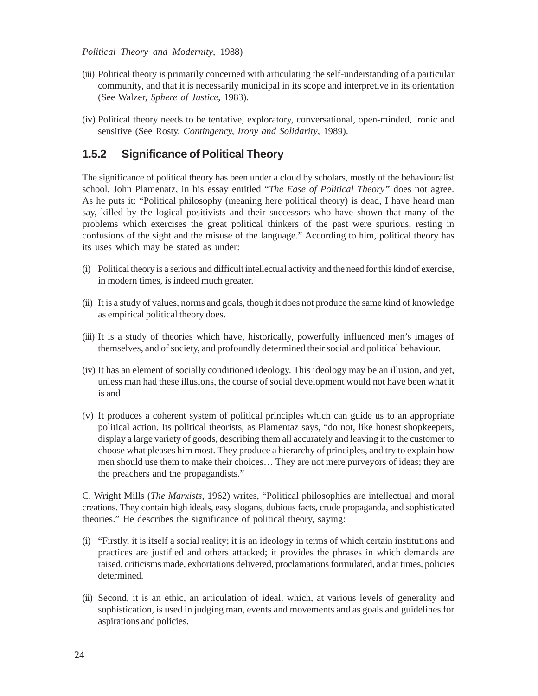#### *Political Theory and Modernity*, 1988)

- (iii) Political theory is primarily concerned with articulating the self-understanding of a particular community, and that it is necessarily municipal in its scope and interpretive in its orientation (See Walzer, *Sphere of Justice*, 1983).
- (iv) Political theory needs to be tentative, exploratory, conversational, open-minded, ironic and sensitive (See Rosty, *Contingency, Irony and Solidarity*, 1989).

#### **1.5.2 Significance of Political Theory**

The significance of political theory has been under a cloud by scholars, mostly of the behaviouralist school. John Plamenatz, in his essay entitled "*The Ease of Political Theory"* does not agree. As he puts it: "Political philosophy (meaning here political theory) is dead, I have heard man say, killed by the logical positivists and their successors who have shown that many of the problems which exercises the great political thinkers of the past were spurious, resting in confusions of the sight and the misuse of the language." According to him, political theory has its uses which may be stated as under:

- (i) Political theory is a serious and difficult intellectual activity and the need for this kind of exercise, in modern times, is indeed much greater.
- (ii) It is a study of values, norms and goals, though it does not produce the same kind of knowledge as empirical political theory does.
- (iii) It is a study of theories which have, historically, powerfully influenced men's images of themselves, and of society, and profoundly determined their social and political behaviour.
- (iv) It has an element of socially conditioned ideology. This ideology may be an illusion, and yet, unless man had these illusions, the course of social development would not have been what it is and
- (v) It produces a coherent system of political principles which can guide us to an appropriate political action. Its political theorists, as Plamentaz says, "do not, like honest shopkeepers, display a large variety of goods, describing them all accurately and leaving it to the customer to choose what pleases him most. They produce a hierarchy of principles, and try to explain how men should use them to make their choices… They are not mere purveyors of ideas; they are the preachers and the propagandists."

C. Wright Mills (*The Marxists*, 1962) writes, "Political philosophies are intellectual and moral creations. They contain high ideals, easy slogans, dubious facts, crude propaganda, and sophisticated theories." He describes the significance of political theory, saying:

- (i) "Firstly, it is itself a social reality; it is an ideology in terms of which certain institutions and practices are justified and others attacked; it provides the phrases in which demands are raised, criticisms made, exhortations delivered, proclamations formulated, and at times, policies determined.
- (ii) Second, it is an ethic, an articulation of ideal, which, at various levels of generality and sophistication, is used in judging man, events and movements and as goals and guidelines for aspirations and policies.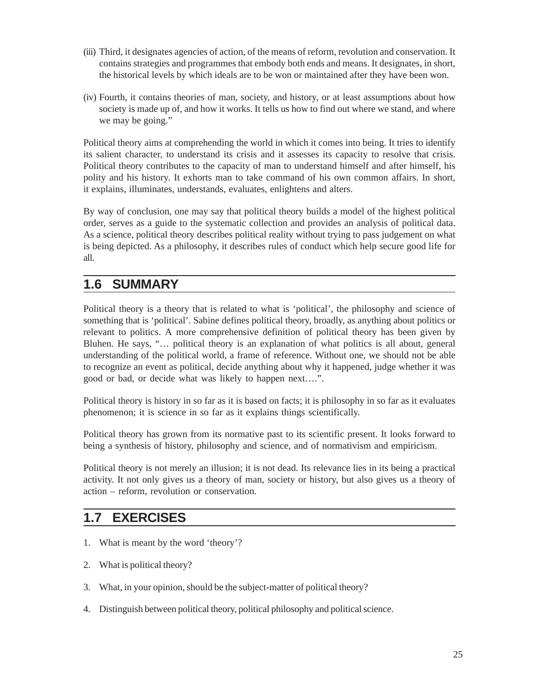- (iii) Third, it designates agencies of action, of the means of reform, revolution and conservation. It contains strategies and programmes that embody both ends and means. It designates, in short, the historical levels by which ideals are to be won or maintained after they have been won.
- (iv) Fourth, it contains theories of man, society, and history, or at least assumptions about how society is made up of, and how it works. It tells us how to find out where we stand, and where we may be going."

Political theory aims at comprehending the world in which it comes into being. It tries to identify its salient character, to understand its crisis and it assesses its capacity to resolve that crisis. Political theory contributes to the capacity of man to understand himself and after himself, his polity and his history. It exhorts man to take command of his own common affairs. In short, it explains, illuminates, understands, evaluates, enlightens and alters.

By way of conclusion, one may say that political theory builds a model of the highest political order, serves as a guide to the systematic collection and provides an analysis of political data. As a science, political theory describes political reality without trying to pass judgement on what is being depicted. As a philosophy, it describes rules of conduct which help secure good life for all.

### **1.6 SUMMARY**

Political theory is a theory that is related to what is 'political', the philosophy and science of something that is 'political'. Sabine defines political theory, broadly, as anything about politics or relevant to politics. A more comprehensive definition of political theory has been given by Bluhen. He says, "… political theory is an explanation of what politics is all about, general understanding of the political world, a frame of reference. Without one, we should not be able to recognize an event as political, decide anything about why it happened, judge whether it was good or bad, or decide what was likely to happen next….".

Political theory is history in so far as it is based on facts; it is philosophy in so far as it evaluates phenomenon; it is science in so far as it explains things scientifically.

Political theory has grown from its normative past to its scientific present. It looks forward to being a synthesis of history, philosophy and science, and of normativism and empiricism.

Political theory is not merely an illusion; it is not dead. Its relevance lies in its being a practical activity. It not only gives us a theory of man, society or history, but also gives us a theory of action – reform, revolution or conservation.

## **1.7 EXERCISES**

- 1. What is meant by the word 'theory'?
- 2. What is political theory?
- 3. What, in your opinion, should be the subject-matter of political theory?
- 4. Distinguish between political theory, political philosophy and political science.